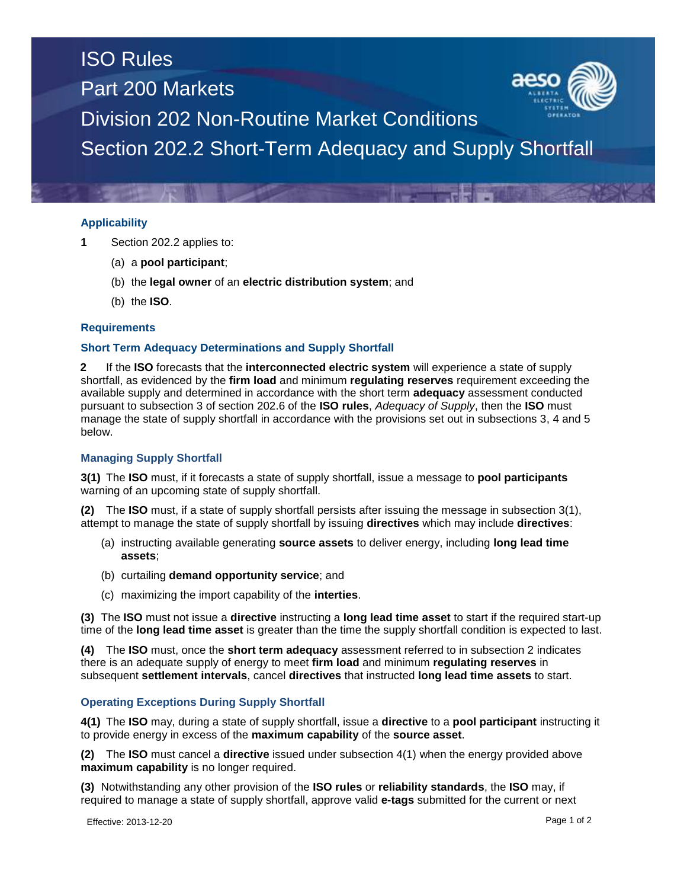# ISO Rules Part 200 Markets



Division 202 Non-Routine Market Conditions

Section 202.2 Short-Term Adequacy and Supply Shortfall

## **Applicability**

- **1** Section 202.2 applies to:
	- (a) a **pool participant**;
	- (b) the **legal owner** of an **electric distribution system**; and
	- (b) the **ISO**.

### **Requirements**

### **Short Term Adequacy Determinations and Supply Shortfall**

**2** If the **ISO** forecasts that the **interconnected electric system** will experience a state of supply shortfall, as evidenced by the **firm load** and minimum **regulating reserves** requirement exceeding the available supply and determined in accordance with the short term **adequacy** assessment conducted pursuant to subsection 3 of section 202.6 of the **ISO rules**, *Adequacy of Supply*, then the **ISO** must manage the state of supply shortfall in accordance with the provisions set out in subsections 3, 4 and 5 below.

### **Managing Supply Shortfall**

**3(1)** The **ISO** must, if it forecasts a state of supply shortfall, issue a message to **pool participants** warning of an upcoming state of supply shortfall.

**(2)** The **ISO** must, if a state of supply shortfall persists after issuing the message in subsection 3(1), attempt to manage the state of supply shortfall by issuing **directives** which may include **directives**:

- (a) instructing available generating **source assets** to deliver energy, including **long lead time assets**;
- (b) curtailing **demand opportunity service**; and
- (c) maximizing the import capability of the **interties**.

**(3)** The **ISO** must not issue a **directive** instructing a **long lead time asset** to start if the required start-up time of the **long lead time asset** is greater than the time the supply shortfall condition is expected to last.

**(4)** The **ISO** must, once the **short term adequacy** assessment referred to in subsection 2 indicates there is an adequate supply of energy to meet **firm load** and minimum **regulating reserves** in subsequent **settlement intervals**, cancel **directives** that instructed **long lead time assets** to start.

### **Operating Exceptions During Supply Shortfall**

**4(1)** The **ISO** may, during a state of supply shortfall, issue a **directive** to a **pool participant** instructing it to provide energy in excess of the **maximum capability** of the **source asset**.

**(2)** The **ISO** must cancel a **directive** issued under subsection 4(1) when the energy provided above **maximum capability** is no longer required.

**(3)** Notwithstanding any other provision of the **ISO rules** or **reliability standards**, the **ISO** may, if required to manage a state of supply shortfall, approve valid **e-tags** submitted for the current or next